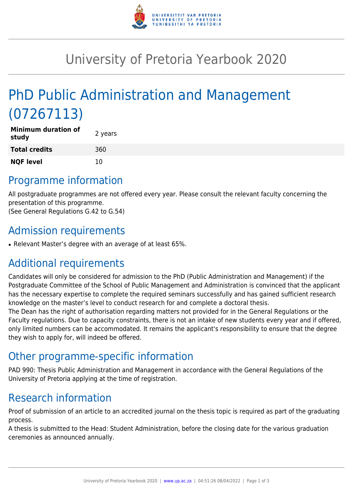

# University of Pretoria Yearbook 2020

# PhD Public Administration and Management (07267113)

| <b>Minimum duration of</b><br>study | 2 years |
|-------------------------------------|---------|
| <b>Total credits</b>                | 360     |
| <b>NQF level</b>                    | 10      |

### Programme information

All postgraduate programmes are not offered every year. Please consult the relevant faculty concerning the presentation of this programme.

(See General Regulations G.42 to G.54)

### Admission requirements

• Relevant Master's degree with an average of at least 65%.

### Additional requirements

Candidates will only be considered for admission to the PhD (Public Administration and Management) if the Postgraduate Committee of the School of Public Management and Administration is convinced that the applicant has the necessary expertise to complete the required seminars successfully and has gained sufficient research knowledge on the master's level to conduct research for and complete a doctoral thesis.

The Dean has the right of authorisation regarding matters not provided for in the General Regulations or the Faculty regulations. Due to capacity constraints, there is not an intake of new students every year and if offered, only limited numbers can be accommodated. It remains the applicant's responsibility to ensure that the degree they wish to apply for, will indeed be offered.

### Other programme-specific information

PAD 990: Thesis Public Administration and Management in accordance with the General Regulations of the University of Pretoria applying at the time of registration.

## Research information

Proof of submission of an article to an accredited journal on the thesis topic is required as part of the graduating process.

A thesis is submitted to the Head: Student Administration, before the closing date for the various graduation ceremonies as announced annually.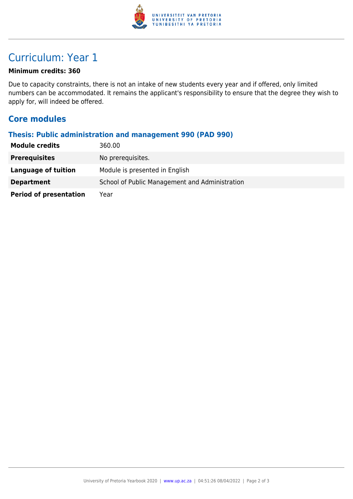

## Curriculum: Year 1

#### **Minimum credits: 360**

Due to capacity constraints, there is not an intake of new students every year and if offered, only limited numbers can be accommodated. It remains the applicant's responsibility to ensure that the degree they wish to apply for, will indeed be offered.

#### **Core modules**

#### **Thesis: Public administration and management 990 (PAD 990)**

| <b>Module credits</b>         | 360.00                                         |
|-------------------------------|------------------------------------------------|
| <b>Prerequisites</b>          | No prerequisites.                              |
| Language of tuition           | Module is presented in English                 |
| <b>Department</b>             | School of Public Management and Administration |
| <b>Period of presentation</b> | Year                                           |